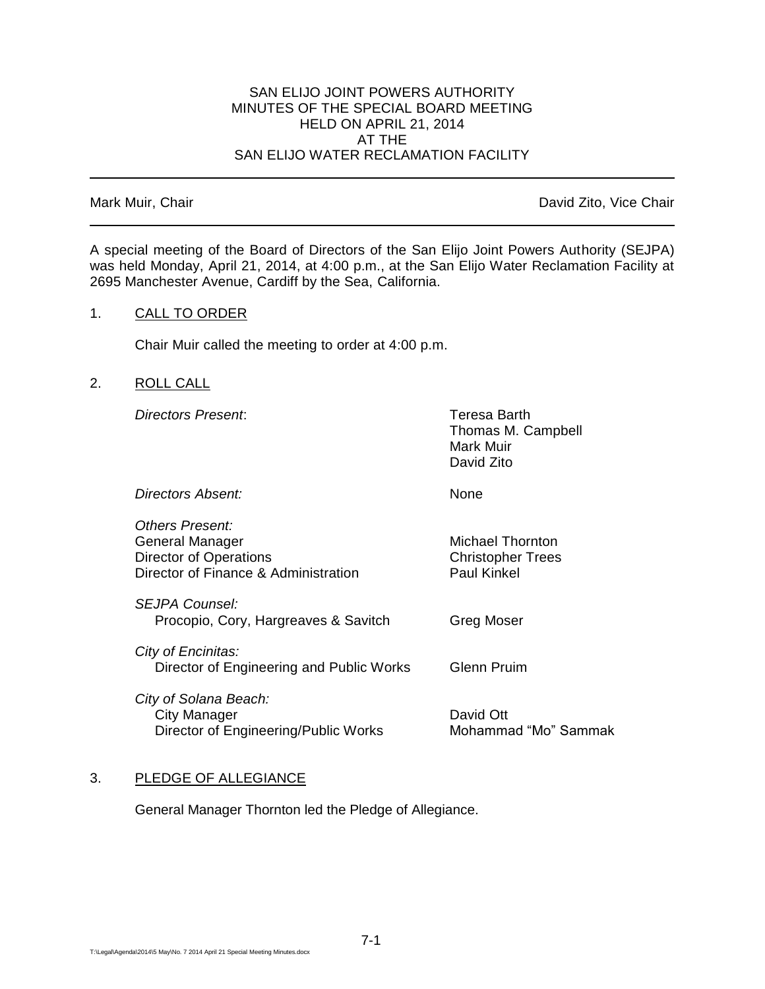## SAN ELIJO JOINT POWERS AUTHORITY MINUTES OF THE SPECIAL BOARD MEETING HELD ON APRIL 21, 2014 AT THE SAN ELIJO WATER RECLAMATION FACILITY

Mark Muir, Chair **David Zito, Vice Chair** David Zito, Vice Chair

A special meeting of the Board of Directors of the San Elijo Joint Powers Authority (SEJPA) was held Monday, April 21, 2014, at 4:00 p.m., at the San Elijo Water Reclamation Facility at 2695 Manchester Avenue, Cardiff by the Sea, California.

### 1. CALL TO ORDER

Chair Muir called the meeting to order at 4:00 p.m.

## 2. ROLL CALL

*Directors Present*: Teresa Barth

Thomas M. Campbell Mark Muir David Zito

*Directors Absent:* None

*Others Present:* General Manager Michael Thornton Director of Operations **Christopher Trees** Director of Finance & Administration Paul Kinkel

*SEJPA Counsel:* Procopio, Cory, Hargreaves & Savitch Greg Moser

*City of Encinitas:* Director of Engineering and Public Works Glenn Pruim

*City of Solana Beach:* City Manager Communic City Manager<br>Director of Engineering/Public Works Mohammad "Mo" Sammak Director of Engineering/Public Works

# 3. PLEDGE OF ALLEGIANCE

General Manager Thornton led the Pledge of Allegiance.